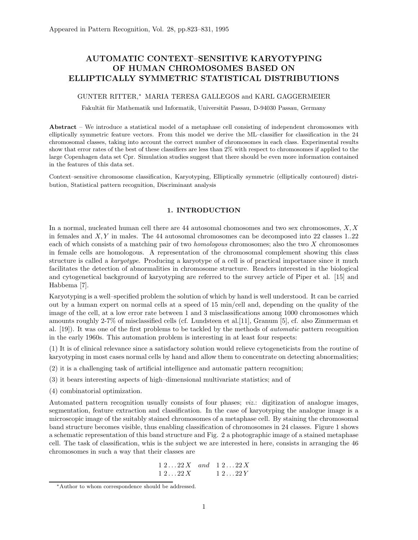# AUTOMATIC CONTEXT–SENSITIVE KARYOTYPING OF HUMAN CHROMOSOMES BASED ON ELLIPTICALLY SYMMETRIC STATISTICAL DISTRIBUTIONS

## GUNTER RITTER,<sup>∗</sup> MARIA TERESA GALLEGOS and KARL GAGGERMEIER

Fakultät für Mathematik und Informatik, Universität Passau, D-94030 Passau, Germany

Abstract – We introduce a statistical model of a metaphase cell consisting of independent chromosomes with elliptically symmetric feature vectors. From this model we derive the ML–classifier for classification in the 24 chromosomal classes, taking into account the correct number of chromosomes in each class. Experimental results show that error rates of the best of these classifiers are less than 2% with respect to chromosomes if applied to the large Copenhagen data set Cpr. Simulation studies suggest that there should be even more information contained in the features of this data set.

Context–sensitive chromosome classification, Karyotyping, Elliptically symmetric (elliptically contoured) distribution, Statistical pattern recognition, Discriminant analysis

# 1. INTRODUCTION

In a normal, nucleated human cell there are  $44$  autosomal chomosomes and two sex chromosomes,  $X, X$ in females and  $X, Y$  in males. The 44 autosomal chromosomes can be decomposed into 22 classes 1..22 each of which consists of a matching pair of two homologous chromosomes; also the two X chromosomes in female cells are homologous. A representation of the chromosomal complement showing this class structure is called a karyotype. Producing a karyotype of a cell is of practical importance since it much facilitates the detection of abnormalities in chromosome structure. Readers interested in the biological and cytogenetical background of karyotyping are referred to the survey article of Piper et al. [15] and Habbema [7].

Karyotyping is a well–specified problem the solution of which by hand is well understood. It can be carried out by a human expert on normal cells at a speed of 15 min/cell and, depending on the quality of the image of the cell, at a low error rate between 1 and 3 misclassifications among 1000 chromosomes which amounts roughly 2-7% of misclassified cells (cf. Lundsteen et al.[11], Granum [5], cf. also Zimmerman et al. [19]). It was one of the first problems to be tackled by the methods of automatic pattern recognition in the early 1960s. This automation problem is interesting in at least four respects:

(1) It is of clinical relevance since a satisfactory solution would relieve cytogeneticists from the routine of karyotyping in most cases normal cells by hand and allow them to concentrate on detecting abnormalities;

- (2) it is a challenging task of artificial intelligence and automatic pattern recognition;
- (3) it bears interesting aspects of high–dimensional multivariate statistics; and of
- (4) combinatorial optimization.

Automated pattern recognition usually consists of four phases; viz.: digitization of analogue images, segmentation, feature extraction and classification. In the case of karyotyping the analogue image is a microscopic image of the suitably stained chromosomes of a metaphase cell. By staining the chromosomal band structure becomes visible, thus enabling classification of chromosomes in 24 classes. Figure 1 shows a schematic representation of this band structure and Fig. 2 a photographic image of a stained metaphase cell. The task of classification, whis is the subject we are interested in here, consists in arranging the 46 chromosomes in such a way that their classes are

$$
\begin{array}{cccc}\n1 & 2 & \dots & 22X & \text{and} & 1 & 2 & \dots & 22X \\
1 & 2 & \dots & 22X & & 1 & 2 & \dots & 22Y\n\end{array}
$$

<sup>∗</sup>Author to whom correspondence should be addressed.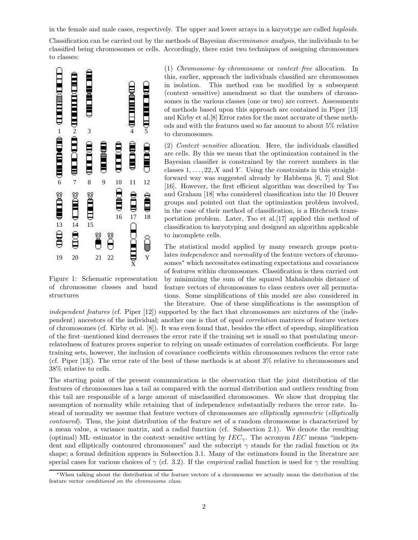in the female and male cases, respectively. The upper and lower arrays in a karyotype are called haploids.

Classification can be carried out by the methods of Bayesian discriminance analysis, the individuals to be classified being chromosomes or cells. Accordingly, there exist two techniques of assigning chromosomes classified being chromosomes or cells. Accordingly, there exist two techniques of assigning chromosomes<br>to classes:



Figure 1: Schematic representation of chromosome classes and band structures

(1) Chromosome–by–chromosome or context–free allocation. In this, earlier, approach the individuals classified are chromosomes in isolation. This method can be modified by a subsequent (context–sensitive) amendment so that the numbers of chromosomes in the various classes (one or two) are correct. Assessments of methods based upon this approach are contained in Piper [13] and Kirby et al.[8] Error rates for the most accurate of these methods and with the features used so far amount to about 5% relative to chromosomes.

(2) Context–sensitive allocation. Here, the individuals classified are cells. By this we mean that the optimization contained in the Bayesian classifier is constrained by the correct numbers in the classes  $1, \ldots, 22, X$  and Y. Using the constraints in this straight– forward way was suggested already by Habbema [6, 7] and Slot [16]. However, the first efficient algorithm was described by Tso and Graham [18] who considered classification into the 10 Denver groups and pointed out that the optimization problem involved, in the case of their method of classification, is a Hitchcock transportation problem. Later, Tso et al.[17] applied this method of classification to karyotyping and designed an algorithm applicable to incomplete cells.

The statistical model applied by many research groups postulates *independence* and *normality* of the feature vectors of chromosomes<sup>∗</sup> which necessitates estimating expectations and covariances of features within chromosomes. Classification is then carried out by minimizing the sum of the squared Mahalanobis distance of feature vectors of chromosomes to class centers over all permutations. Some simplifications of this model are also considered in the literature. One of these simplifications is the assumption of

independent features (cf. Piper [12]) supported by the fact that chromosomes are mixtures of the (independent) ancestors of the individual; another one is that of equal correlation matrices of feature vectors of chromosomes (cf. Kirby et al. [8]). It was even found that, besides the effect of speedup, simplification of the first–mentioned kind decreases the error rate if the training set is small so that postulating uncorrelatedness of features proves superior to relying on unsafe estimates of correlation coefficients. For large training sets, however, the inclusion of covariance coefficients within chromosomes reduces the error rate (cf. Piper [13]). The error rate of the best of these methods is at about 3% relative to chromosomes and 38% relative to cells.

The starting point of the present communication is the observation that the joint distribution of the features of chromosomes has a tail as compared with the normal distribution and outliers resulting from this tail are responsible of a large amount of misclassified chromosomes. We show that dropping the assumption of normality while retaining that of independence substantially reduces the error rate. Instead of normality we assume that feature vectors of chromosomes are *elliptically symmetric* (*elliptically* contoured). Thus, the joint distribution of the feature set of a random chromosome is characterized by a mean value, a variance matrix, and a radial function (cf. Subsection 2.1). We denote the resulting (optimal) ML–estimator in the context–sensitive setting by  $IEC_{\gamma}$ . The acronym IEC means "independent and elliptically contoured chromosomes" and the subscript  $\gamma$  stands for the radial function or its shape; a formal definition appears in Subsection 3.1. Many of the estimators found in the literature are special cases for various choices of  $\gamma$  (cf. 3.2). If the *empirical* radial function is used for  $\gamma$  the resulting

<sup>∗</sup>When talking about the distribution of the feature vectore of a chromosome we actually mean the distribution of the feature vector conditioned on the chromosome class.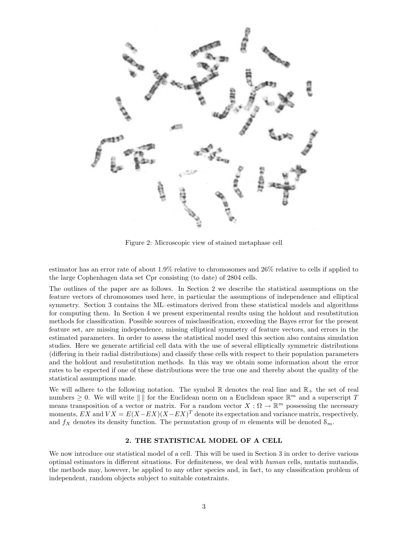

Figure 2: Microscopic view of stained metaphase cell

estimator has an error rate of about 1.9% relative to chromosomes and 26% relative to cells if applied to the large Cophenhagen data set Cpr consisting (to date) of 2804 cells.

The outlines of the paper are as follows. In Section 2 we describe the statistical assumptions on the feature vectors of chromosomes used here, in particular the assumptions of independence and elliptical symmetry. Section 3 contains the ML–estimators derived from these statistical models and algorithms for computing them. In Section 4 we present experimental results using the holdout and resubstitution methods for classification. Possible sources of misclassification, exceeding the Bayes error for the present feature set, are missing independence, missing elliptical symmetry of feature vectors, and errors in the estimated parameters. In order to assess the statistical model used this section also contains simulation studies. Here we generate artificial cell data with the use of several elliptically symmetric distributions (differing in their radial distributions) and classify these cells with respect to their population parameters and the holdout and resubstitution methods. In this way we obtain some information about the error rates to be expected if one of these distributions were the true one and thereby about the quality of the statistical assumptions made.

We will adhere to the following notation. The symbol  $\mathbb R$  denotes the real line and  $\mathbb R_+$  the set of real numbers  $\geq 0$ . We will write  $\| \n\|$  for the Euclidean norm on a Euclidean space  $\mathbb{R}^m$  and a superscript T means transposition of a vector or matrix. For a random vector  $X: \Omega \to \mathbb{R}^m$  possessing the necessary moments,  $EX$  and  $V X = E(X - EX)(X - EX)^T$  denote its expectation and variance matrix, respectively, and  $f_X$  denotes its density function. The permutation group of m elements will be denoted  $\mathcal{S}_m$ .

# 2. THE STATISTICAL MODEL OF A CELL

We now introduce our statistical model of a cell. This will be used in Section 3 in order to derive various optimal estimators in different situations. For definiteness, we deal with human cells, mutatis mutandis, the methods may, however, be applied to any other species and, in fact, to any classification problem of independent, random objects subject to suitable constraints.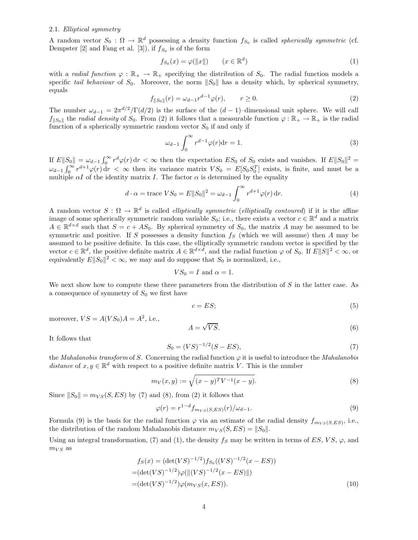# 2.1. Elliptical symmetry

A random vector  $S_0$ :  $\Omega \to \mathbb{R}^d$  possessing a density function  $f_{S_0}$  is called *spherically symmetric* (cf. Dempster [2] and Fang et al. [3]), if  $f_{S_0}$  is of the form

$$
f_{S_0}(x) = \varphi(||x||) \qquad (x \in \mathbb{R}^d)
$$
 (1)

with a radial function  $\varphi : \mathbb{R}_+ \to \mathbb{R}_+$  specifying the distribution of  $S_0$ . The radial function models a specific tail behaviour of  $S_0$ . Moreover, the norm  $||S_0||$  has a density which, by spherical symmetry, equals

$$
f_{\|S_0\|}(r) = \omega_{d-1} r^{d-1} \varphi(r), \qquad r \ge 0.
$$
 (2)

The number  $\omega_{d-1} = 2\pi^{d/2} / \Gamma(d/2)$  is the surface of the  $(d-1)$ –dimensional unit sphere. We will call  $f_{\parallel S_0\parallel}$  the radial density of  $S_0$ . From (2) it follows that a measurable function  $\varphi : \mathbb{R}_+ \to \mathbb{R}_+$  is the radial function of a spherically symmetric random vector  $S_0$  if and only if

$$
\omega_{d-1} \int_0^\infty r^{d-1} \varphi(r) \mathrm{d}r = 1. \tag{3}
$$

If  $E||S_0|| = \omega_{d-1} \int_0^\infty r^d \varphi(r) dr < \infty$  then the expectation  $ES_0$  of  $S_0$  exists and vanishes. If  $E||S_0||^2 =$  $\omega_{d-1} \int_0^\infty r^{d+1} \varphi(r) dr < \infty$  then its variance matrix  $VS_0 = E[S_0 S_0^T]$  exists, is finite, and must be a multiple  $\alpha I$  of the identity matrix I. The factor  $\alpha$  is determined by the equality

$$
d \cdot \alpha = \text{trace } VS_0 = E||S_0||^2 = \omega_{d-1} \int_0^\infty r^{d+1} \varphi(r) \, dr. \tag{4}
$$

A random vector  $S: \Omega \to \mathbb{R}^d$  is called *elliptically symmetric (elliptically contoured)* if it is the affine image of some spherically symmetric random variable  $S_0$ ; i.e., there exists a vector  $c \in \mathbb{R}^d$  and a matrix  $A \in \mathbb{R}^{d \times d}$  such that  $S = c + AS_0$ . By spherical symmetry of  $S_0$ , the matrix A may be assumed to be symmetric and positive. If S possesses a density function  $f_S$  (which we will assume) then A may be assumed to be positive definite. In this case, the elliptically symmetric random vector is specified by the vector  $c \in \mathbb{R}^d$ , the positive definite matrix  $A \in \mathbb{R}^{d \times d}$ , and the radial function  $\varphi$  of  $S_0$ . If  $E||S||^2 < \infty$ , or equivalently  $E||S_0||^2 < \infty$ , we may and do suppose that  $S_0$  is normalized, i.e.,

$$
VS_0 = I \text{ and } \alpha = 1.
$$

We next show how to compute these three parameters from the distribution of  $S$  in the latter case. As a consequence of symmetry of  $S_0$  we first have

$$
c = ES;
$$
\n<sup>(5)</sup>

moreover,  $VS = A(VS_0)A = A^2$ , i.e.,

$$
A = \sqrt{VS}.\tag{6}
$$

It follows that

$$
S_0 = (VS)^{-1/2}(S - ES),\tag{7}
$$

the Mahalanobis transform of S. Concerning the radial function  $\varphi$  it is useful to introduce the Mahalanobis distance of  $x, y \in \mathbb{R}^d$  with respect to a positive definite matrix V. This is the number

$$
m_V(x, y) := \sqrt{(x - y)^T V^{-1} (x - y)}.
$$
\n(8)

Since  $||S_0|| = m_{VS}(S, ES)$  by (7) and (8), from (2) it follows that

$$
\varphi(r) = r^{1-d} f_{m_{VS}(S,ES)}(r) / \omega_{d-1}.
$$
\n(9)

Formula (9) is the basis for the radial function  $\varphi$  via an estimate of the radial density  $f_{m_{VS}(S,ES)}$ , i.e., the distribution of the random Mahalanobis distance  $m_{VS}(S, ES) = ||S_0||$ .

Using an integral transformation, (7) and (1), the density  $f_s$  may be written in terms of ES, VS,  $\varphi$ , and  $m_{VS}$  as

$$
f_S(x) = (\det(VS)^{-1/2}) f_{S_0}((VS)^{-1/2}(x - ES))
$$
  
= (\det(VS)^{-1/2})\varphi(||(VS)^{-1/2}(x - ES)||)  
= (\det(VS)^{-1/2})\varphi(m\_{VS}(x, ES)). (10)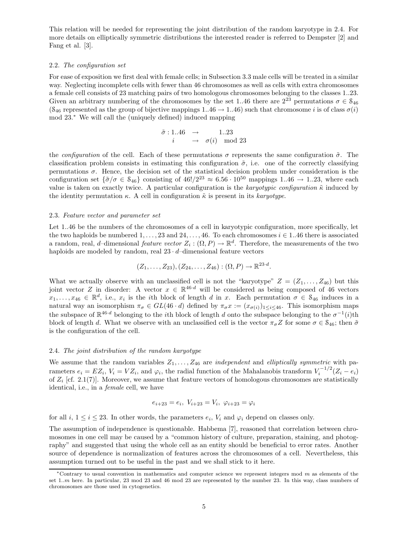This relation will be needed for representing the joint distribution of the random karyotype in 2.4. For more details on elliptically symmetric distributions the interested reader is referred to Dempster [2] and Fang et al. [3].

## 2.2. The configuration set

For ease of exposition we first deal with female cells; in Subsection 3.3 male cells will be treated in a similar way. Neglecting incomplete cells with fewer than 46 chromosomes as well as cells with extra chromosomes a female cell consists of 23 matching pairs of two homologous chromosomes belonging to the classes 1..23. Given an arbitrary numbering of the chromosomes by the set 1..46 there are  $2^{23}$  permutations  $\sigma \in \mathcal{S}_{46}$  $(S_{46}$  represented as the group of bijective mappings 1..46  $\rightarrow$  1..46) such that chromosome *i* is of class  $\sigma(i)$ mod 23.<sup>∗</sup> We will call the (uniquely defined) induced mapping

$$
\begin{array}{rcl}\n\tilde{\sigma} : 1..46 & \to & 1..23 \\
i & \to & \sigma(i) \mod 23\n\end{array}
$$

the configuration of the cell. Each of these permutations  $\sigma$  represents the same configuration  $\tilde{\sigma}$ . The classification problem consists in estimating this configuration  $\tilde{\sigma}$ , i.e. one of the correctly classifying permutations  $\sigma$ . Hence, the decision set of the statistical decision problem under consideration is the configuration set  $\{\tilde{\sigma}/\sigma \in \mathcal{S}_{46}\}$  consisting of  $46!/2^{23} \approx 6.56 \cdot 10^{50}$  mappings 1.46  $\rightarrow$  1.23, where each value is taken on exactly twice. A particular configuration is the karyotypic configuration  $\tilde{\kappa}$  induced by the identity permutation  $\kappa$ . A cell in configuration  $\tilde{\kappa}$  is present in its karyotype.

## 2.3. Feature vector and parameter set

Let 1..46 be the numbers of the chromosomes of a cell in karyotypic configuration, more specifically, let the two haploids be numbered  $1, \ldots, 23$  and  $24, \ldots, 46$ . To each chromosomes  $i \in 1..46$  there is associated a random, real, d–dimensional feature vector  $Z_i : (\Omega, P) \to \mathbb{R}^d$ . Therefore, the measurements of the two haploids are modeled by random, real  $23 \cdot d$ –dimensional feature vectors

$$
(Z_1, \ldots, Z_{23}), (Z_{24}, \ldots, Z_{46}) : (\Omega, P) \to \mathbb{R}^{23 \cdot d}.
$$

What we actually observe with an unclassified cell is not the "karyotype"  $Z = (Z_1, \ldots, Z_{46})$  but this joint vector Z in disorder: A vector  $x \in \mathbb{R}^{46 \cdot d}$  will be considered as being composed of 46 vectors  $x_1, \ldots, x_{46} \in \mathbb{R}^d$ , i.e.,  $x_i$  is the *i*th block of length d in x. Each permutation  $\sigma \in S_{46}$  induces in a natural way an isomorphism  $\pi_{\sigma} \in GL(46 \cdot d)$  defined by  $\pi_{\sigma} x := (x_{\sigma(i)})_{1 \leq i \leq 46}$ . This isomorphism maps the subspace of  $\mathbb{R}^{46 \cdot d}$  belonging to the *i*th block of length d onto the subspace belonging to the  $\sigma^{-1}(i)$ th block of length d. What we observe with an unclassified cell is the vector  $\pi_{\sigma}Z$  for some  $\sigma \in \mathcal{S}_{46}$ ; then  $\tilde{\sigma}$ is the configuration of the cell.

#### 2.4. The joint distribution of the random karyotype

We assume that the random variables  $Z_1, \ldots, Z_{46}$  are *independent* and *elliptically symmetric* with parameters  $e_i = EZ_i$ ,  $V_i = VZ_i$ , and  $\varphi_i$ , the radial function of the Mahalanobis transform  $V_i^{-1/2}(Z_i - e_i)$ of  $Z_i$  [cf. 2.1(7)]. Moreover, we assume that feature vectors of homologous chromosomes are statistically identical, i.e., in a female cell, we have

$$
e_{i+23} = e_i, V_{i+23} = V_i, \varphi_{i+23} = \varphi_i
$$

for all  $i, 1 \leq i \leq 23$ . In other words, the parameters  $e_i$ ,  $V_i$  and  $\varphi_i$  depend on classes only.

The assumption of independence is questionable. Habbema [7], reasoned that correlation between chromosomes in one cell may be caused by a "common history of culture, preparation, staining, and photography" and suggested that using the whole cell as an entity should be beneficial to error rates. Another source of dependence is normalization of features across the chromosomes of a cell. Nevertheless, this assumption turned out to be useful in the past and we shall stick to it here.

<sup>\*</sup>Contrary to usual convention in mathematics and computer science we represent integers mod  $m$  as elements of the set 1..m here. In particular, 23 mod 23 and 46 mod 23 are represented by the number 23. In this way, class numbers of chromosomes are those used in cytogenetics.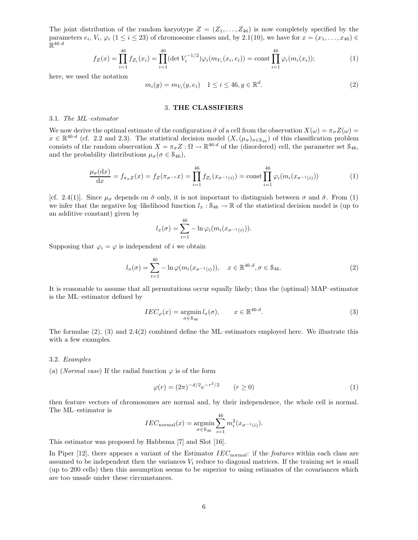The joint distribution of the random karyotype  $Z = (Z_1, \ldots, Z_{46})$  is now completely specified by the parameters  $e_i$ ,  $V_i$ ,  $\varphi_i$  ( $1 \le i \le 23$ ) of chromosome classes and, by 2.1(10), we have for  $x = (x_1, \ldots, x_{46}) \in$  $\mathbb{R}^{46 \cdot d}$ 

$$
f_Z(x) = \prod_{i=1}^{46} f_{Z_i}(x_i) = \prod_{i=1}^{46} (\det V_i^{-1/2}) \varphi_i(m_{V_i}(x_i, e_i)) = \text{const} \prod_{i=1}^{46} \varphi_i(m_i(x_i)); \tag{1}
$$

here, we used the notation

$$
m_i(y) = m_{V_i}(y, e_i) \quad 1 \le i \le 46, y \in \mathbb{R}^d. \tag{2}
$$

## 3. THE CLASSIFIERS

#### 3.1. The ML–estimator

We now derive the optimal estimate of the configuration  $\tilde{\sigma}$  of a cell from the observation  $X(\omega) = \pi_{\sigma} Z(\omega)$  $x \in \mathbb{R}^{46 \cdot d}$  (cf. 2.2 and 2.3). The statistical decision model  $(X, (\mu_{\sigma})_{\sigma \in S_{46}})$  of this classification problem consists of the random observation  $X = \pi_{\sigma} Z : \Omega \to \mathbb{R}^{46 \cdot d}$  of the (disordered) cell, the parameter set  $S_{46}$ , and the probability distributions  $\mu_{\sigma}(\sigma \in S_{46}),$ 

$$
\frac{\mu_{\sigma}(\mathrm{d}x)}{\mathrm{d}x} = f_{\pi_{\sigma}Z}(x) = f_Z(\pi_{\sigma^{-1}}x) = \prod_{i=1}^{46} f_{Z_i}(x_{\sigma^{-1}(i)}) = \mathrm{const} \prod_{i=1}^{46} \varphi_i(m_i(x_{\sigma^{-1}(i)}))
$$
(1)

[cf. 2.4(1)]. Since  $\mu_{\sigma}$  depends on  $\tilde{\sigma}$  only, it is not important to distinguish between  $\sigma$  and  $\tilde{\sigma}$ . From (1) we infer that the negative log–likelihood function  $l_x : S_{46} \to \mathbb{R}$  of the statistical decision model is (up to an additive constant) given by

$$
l_x(\sigma) = \sum_{i=1}^{46} -\ln \varphi_i(m_i(x_{\sigma^{-1}(i)})).
$$

Supposing that  $\varphi_i = \varphi$  is independent of *i* we obtain

$$
l_x(\sigma) = \sum_{i=1}^{46} -\ln \varphi(m_i(x_{\sigma^{-1}(i)})), \quad x \in \mathbb{R}^{46 \cdot d}, \sigma \in \mathcal{S}_{46}.
$$
 (2)

It is reasonable to assume that all permutations occur equally likely; thus the (optimal) MAP–estimator is the ML–estimator defined by

$$
IEC_{\varphi}(x) = \underset{\sigma \in \mathcal{S}_{46}}{\operatorname{argmin}} l_x(\sigma), \qquad x \in \mathbb{R}^{46 \cdot d}.
$$
 (3)

The formulae (2), (3) and 2.4(2) combined define the ML–estimators employed here. We illustrate this with a few examples.

#### 3.2. Examples

(a) (Normal case) If the radial function  $\varphi$  is of the form

$$
\varphi(r) = (2\pi)^{-d/2} e^{-r^2/2} \qquad (r \ge 0)
$$
\n(1)

then feature vectors of chromosomes are normal and, by their independence, the whole cell is normal. The ML–estimator is 46

$$
IEC_{\text{normal}}(x) = \underset{\sigma \in \mathcal{S}_{46}}{\text{argmin}} \sum_{i=1}^{46} m_i^2 (x_{\sigma^{-1}(i)}).
$$

This estimator was proposed by Habbema [7] and Slot [16].

In Piper  $[12]$ , there appears a variant of the Estimator  $IEC_{normal}$ : if the *features* within each class are assumed to be independent then the variances  $V_i$  reduce to diagonal matrices. If the training set is small (up to 200 cells) then this assumption seems to be superior to using estimates of the covariances which are too unsafe under these circumstances.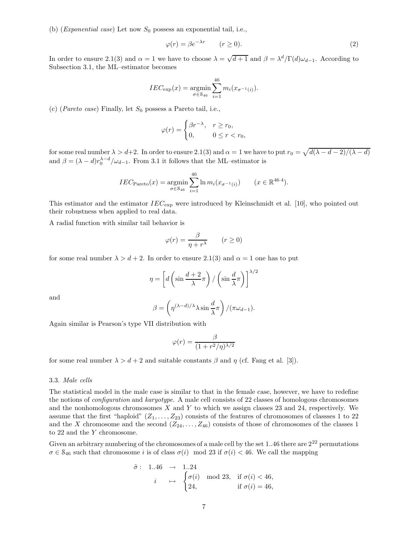(b) (*Exponential case*) Let now  $S_0$  possess an exponential tail, i.e.,

$$
\varphi(r) = \beta e^{-\lambda r} \qquad (r \ge 0). \tag{2}
$$

In order to ensure 2.1(3) and  $\alpha = 1$  we have to choose  $\lambda = \sqrt{d+1}$  and  $\beta = \lambda^d/\Gamma(d)\omega_{d-1}$ . According to Subsection 3.1, the ML–estimator becomes

$$
IEC_{\exp}(x) = \underset{\sigma \in S_{46}}{\operatorname{argmin}} \sum_{i=1}^{46} m_i(x_{\sigma^{-1}(i)}).
$$

(c) (*Pareto case*) Finally, let  $S_0$  possess a Pareto tail, i.e.,

$$
\varphi(r) = \begin{cases} \beta r^{-\lambda}, & r \ge r_0, \\ 0, & 0 \le r < r_0, \end{cases}
$$

for some real number  $\lambda > d+2$ . In order to ensure 2.1(3) and  $\alpha = 1$  we have to put  $r_0 = \sqrt{d(\lambda - d - 2)/(\lambda - d)}$ and  $\beta = (\lambda - d)r_0^{\lambda - d}/\omega_{d-1}$ . From 3.1 it follows that the ML-estimator is

$$
IEC_{\text{Pareto}}(x) = \underset{\sigma \in \mathcal{S}_{46}}{\operatorname{argmin}} \sum_{i=1}^{46} \ln m_i(x_{\sigma^{-1}(i)}) \qquad (x \in \mathbb{R}^{46 \cdot 4}).
$$

This estimator and the estimator  $IEC_{\text{exp}}$  were introduced by Kleinschmidt et al. [10], who pointed out their robustness when applied to real data.

A radial function with similar tail behavior is

$$
\varphi(r) = \frac{\beta}{\eta + r^{\lambda}} \qquad (r \ge 0)
$$

for some real number  $\lambda > d + 2$ . In order to ensure 2.1(3) and  $\alpha = 1$  one has to put

$$
\eta = \left[ d \left( \sin \frac{d+2}{\lambda} \pi \right) / \left( \sin \frac{d}{\lambda} \pi \right) \right]^{1/2}
$$

and

$$
\beta = \left(\eta^{(\lambda - d)/\lambda} \lambda \sin \frac{d}{\lambda} \pi\right) / (\pi \omega_{d-1}).
$$

Again similar is Pearson's type VII distribution with

$$
\varphi(r) = \frac{\beta}{(1 + r^2/\eta)^{\lambda/2}}
$$

for some real number  $\lambda > d + 2$  and suitable constants  $\beta$  and  $\eta$  (cf. Fang et al. [3]).

### 3.3. Male cells

The statistical model in the male case is similar to that in the female case, however, we have to redefine the notions of configuration and karyotype. A male cell consists of 22 classes of homologous chromosomes and the nonhomologous chromosomes  $X$  and  $Y$  to which we assign classes 23 and 24, respectively. We assume that the first "haploid"  $(Z_1, \ldots, Z_{23})$  consists of the features of chromosomes of classses 1 to 22 and the X chromosome and the second  $(Z_{24}, \ldots, Z_{46})$  consists of those of chromosomes of the classes 1 to 22 and the Y chromosome.

Given an arbitrary numbering of the chromosomes of a male cell by the set  $1..46$  there are  $2^{22}$  permutations  $\sigma \in S_{46}$  such that chromosome i is of class  $\sigma(i)$  mod 23 if  $\sigma(i) < 46$ . We call the mapping

$$
\tilde{\sigma}: \quad 1..46 \quad \to \quad 1..24
$$
\n
$$
i \quad \mapsto \quad \begin{cases}\n\sigma(i) & \text{mod } 23, \quad \text{if } \sigma(i) < 46, \\
24, & \text{if } \sigma(i) = 46,\n\end{cases}
$$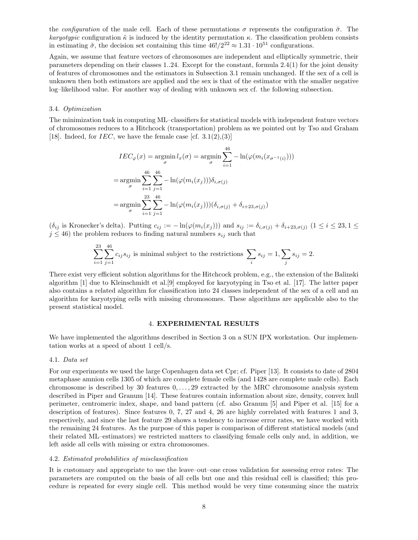the configuration of the male cell. Each of these permutations  $\sigma$  represents the configuration  $\tilde{\sigma}$ . The karyotypic configuration  $\tilde{\kappa}$  is induced by the identity permutation  $\kappa$ . The classification problem consists in estimating  $\tilde{\sigma}$ , the decision set containing this time  $46!/2^{22} \approx 1.31 \cdot 10^{51}$  configurations.

Again, we assume that feature vectors of chromosomes are independent and elliptically symmetric, their parameters depending on their classes 1..24. Except for the constant, formula 2.4(1) for the joint density of features of chromosomes and the estimators in Subsection 3.1 remain unchanged. If the sex of a cell is unknown then both estimators are applied and the sex is that of the estimator with the smaller negative log–likelihood value. For another way of dealing with unknown sex cf. the following subsection.

## 3.4. Optimization

The minimization task in computing ML–classifiers for statistical models with independent feature vectors of chromosomes reduces to a Hitchcock (transportation) problem as we pointed out by Tso and Graham [18]. Indeed, for *IEC*, we have the female case  $[cf. 3.1(2), (3)]$ 

$$
IEC_{\varphi}(x) = \underset{\sigma}{\operatorname{argmin}} l_x(\sigma) = \underset{\sigma}{\operatorname{argmin}} \sum_{i=1}^{46} -\ln(\varphi(m_i(x_{\sigma^{-1}(i)})))
$$

$$
= \underset{\sigma}{\operatorname{argmin}} \sum_{i=1}^{46} \sum_{j=1}^{46} -\ln(\varphi(m_i(x_j))) \delta_{i,\sigma(j)}
$$

$$
= \underset{\sigma}{\operatorname{argmin}} \sum_{i=1}^{23} \sum_{j=1}^{46} -\ln(\varphi(m_i(x_j)))(\delta_{i,\sigma(j)} + \delta_{i+23,\sigma(j)})
$$

 $(\delta_{ij}$  is Kronecker's delta). Putting  $c_{ij} := -\ln(\varphi(m_i(x_j)))$  and  $s_{ij} := \delta_{i,\sigma(j)} + \delta_{i+23,\sigma(j)}$   $(1 \le i \le 23, 1 \le j \le 35)$  $j \leq 46$ ) the problem reduces to finding natural numbers  $s_{ij}$  such that

$$
\sum_{i=1}^{23} \sum_{j=1}^{46} c_{ij} s_{ij}
$$
 is minimal subject to the restrictions 
$$
\sum_i s_{ij} = 1, \sum_j s_{ij} = 2.
$$

There exist very efficient solution algorithms for the Hitchcock problem, e.g., the extension of the Balinski algorithm [1] due to Kleinschmidt et al.[9] employed for karyotyping in Tso et al. [17]. The latter paper also contains a related algorithm for classification into 24 classes independent of the sex of a cell and an algorithm for karyotyping cells with missing chromosomes. These algorithms are applicable also to the present statistical model.

## 4. EXPERIMENTAL RESULTS

We have implemented the algorithms described in Section 3 on a SUN IPX workstation. Our implementation works at a speed of about 1 cell/s.

## 4.1. Data set

For our experiments we used the large Copenhagen data set Cpr; cf. Piper [13]. It consists to date of 2804 metaphase amnion cells 1305 of which are complete female cells (and 1428 are complete male cells). Each chromosome is described by 30 features  $0, \ldots, 29$  extracted by the MRC chromosome analysis system described in Piper and Granum [14]. These features contain information about size, density, convex hull perimeter, centromeric index, shape, and band pattern (cf. also Granum [5] and Piper et al. [15] for a description of features). Since features 0, 7, 27 and 4, 26 are highly correlated with features 1 and 3, respectively, and since the last feature 29 shows a tendency to increase error rates, we have worked with the remaining 24 features. As the purpose of this paper is comparison of different statistical models (and their related ML–estimators) we restricted matters to classifying female cells only and, in addition, we left aside all cells with missing or extra chromosomes.

#### 4.2. Estimated probabilities of misclassification

It is customary and appropriate to use the leave–out–one cross validation for assessing error rates: The parameters are computed on the basis of all cells but one and this residual cell is classified; this procedure is repeated for every single cell. This method would be very time consuming since the matrix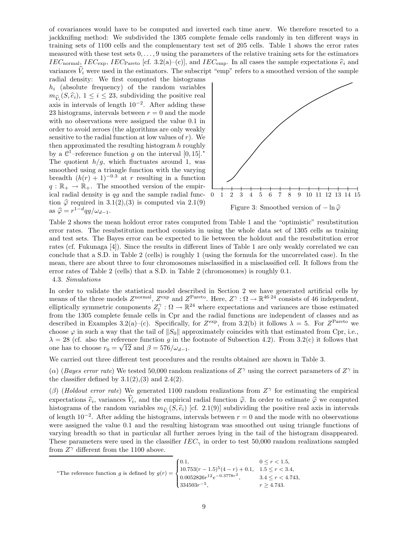of covariances would have to be computed and inverted each time anew. We therefore resorted to a jackknifing method: We subdivided the 1305 complete female cells randomly in ten different ways in training sets of 1100 cells and the complementary test set of 205 cells. Table 1 shows the error rates measured with these test sets  $0, \ldots, 9$  using the parameters of the relative training sets for the estimators IEC<sub>normal</sub>, IEC<sub>exp</sub>, IEC<sub>Pareto</sub> [cf. 3.2(a)–(c)], and IEC<sub>emp</sub>. In all cases the sample expectations  $\hat{e}_i$  and variances  $\hat{V}_i$  were used in the estimators. The subscript "emp" refers to a smoothed version of the sample

radial density: We first computed the histograms  $h_i$  (absolute frequency) of the random variables  $m_{\hat{V}_i}(S, \hat{e}_i), 1 \leq i \leq 23$ , subdividing the positive real axis in intervals of length 10<sup>−</sup><sup>2</sup> . After adding these 23 histograms, intervals between  $r = 0$  and the mode with no observations were assigned the value 0.1 in order to avoid zeroes (the algorithms are only weakly sensitive to the radial function at low values of  $r$ ). We then approximated the resulting histogram h roughly by a  $\mathcal{C}^1$ -reference function g on the interval  $[0, 15]$ .<sup>\*</sup> The quotient  $h/g$ , which fluctuates around 1, was smoothed using a triangle function with the varying breadth  $(h(r) + 1)^{-0.3}$  at r resulting in a function  $q : \mathbb{R}_+ \to \mathbb{R}_+$ . The smoothed version of the empirical radial density is qg and the sample radial function  $\hat{\varphi}$  required in 3.1(2),(3) is computed via 2.1(9) as  $\hat{\varphi} = r^{1-d} qg/\omega_{d-1}$ .



Table 2 shows the mean holdout error rates computed from Table 1 and the "optimistic" resubstitution error rates. The resubstitution method consists in using the whole data set of 1305 cells as training and test sets. The Bayes error can be expected to lie between the holdout and the resubstitution error rates (cf. Fukunaga [4]). Since the results in different lines of Table 1 are only weakly correlated we can conclude that a S.D. in Table 2 (cells) is roughly 1 (using the formula for the uncorrelated case). In the mean, there are about three to four chromosomes misclassified in a misclassified cell. It follows from the error rates of Table 2 (cells) that a S.D. in Table 2 (chromosomes) is roughly 0.1. 4.3. Simulations

In order to validate the statistical model described in Section 2 we have generated artificial cells by means of the three models  $Z^{\text{normal}}$ ,  $Z^{\text{exp}}$  and  $Z^{\text{Pareto}}$ . Here,  $Z^{\gamma}$ :  $\Omega \to \mathbb{R}^{46 \cdot 24}$  consists of 46 independent, elliptically symmetric components  $Z_l^{\gamma} : \Omega \to \mathbb{R}^{24}$  where expectations and variances are those estimated from the 1305 complete female cells in Cpr and the radial functions are independent of classes and as described in Examples 3.2(a)–(c). Specifically, for  $Z^{\text{exp}}$ , from 3.2(b) it follows  $\lambda = 5$ . For  $Z^{\text{Pareto}}$  we choose  $\varphi$  in such a way that the tail of  $||S_0||$  approximately coincides with that estimated from Cpr, i.e.,  $\lambda = 28$  (cf. also the reference function g in the footnote of Subsection 4.2). From 3.2(c) it follows that one has to choose  $r_0 = \sqrt{12}$  and  $\beta = 576/\omega_{d-1}$ .

We carried out three different test procedures and the results obtained are shown in Table 3.

(a) (Bayes error rate) We tested 50,000 random realizations of  $Z^{\gamma}$  using the correct parameters of  $Z^{\gamma}$  in the classifier defined by  $3.1(2),(3)$  and  $2.4(2)$ .

( $\beta$ ) (Holdout error rate) We generated 1100 random realizations from  $Z^{\gamma}$  for estimating the empirical expectations  $\hat{e}_i$ , variances  $V_i$ , and the empirical radial function  $\hat{\varphi}$ . In order to estimate  $\hat{\varphi}$  we computed<br>birthdress of the sum low empirities  $w_e(\hat{S}_i)$  of  $\hat{S}_i$  and  $(0)$  subdividing the acciding histograms of the random variables  $m_{\hat{V}_i}(S, \hat{e}_i)$  [cf. 2.1(9)] subdividing the positive real axis in intervals of length  $10^{-2}$ . After adding the histograms, intervals between  $r = 0$  and the mode with no observations were assigned the value 0.1 and the resulting histogram was smoothed out using triangle functions of varying breadth so that in particular all further zeroes lying in the tail of the histogram disappeared. These parameters were used in the classifier  $IEC_{\gamma}$  in order to test 50,000 random realizations sampled from  $Z^{\gamma}$  different from the 1100 above.

\*The reference function 
$$
g
$$
 is defined by 
$$
g(r) = \begin{cases} 0.1, & 0 \le r < 1.5, \\ 10.753(r - 1.5)^5(4 - r) + 0.1, & 1.5 \le r < 3.4, \\ 0.0052826r^{12}e^{-0.3778r^2}, & 3.4 \le r < 4.743, \\ 334503r^{-5}, & r \ge 4.743. \end{cases}
$$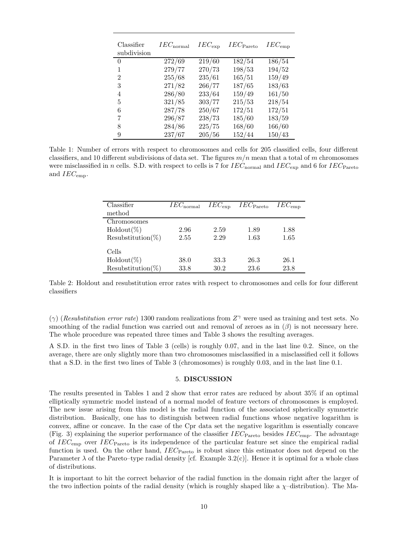| Classifier<br>subdivision | $IEC_{\rm normal}$ | $IEC_{\exp}$    | $IEC$ Pareto | $IEC_{\text{emp}}$ |
|---------------------------|--------------------|-----------------|--------------|--------------------|
| 0                         | 272/69             | $\sqrt{219/60}$ | 182/54       | 186/54             |
| 1                         | 279/77             | 270/73          | 198/53       | 194/52             |
| $\overline{2}$            | 255/68             | 235/61          | 165/51       | 159/49             |
| 3                         | 271/82             | 266/77          | 187/65       | 183/63             |
| 4                         | 286/80             | 233/64          | 159/49       | 161/50             |
| 5                         | 321/85             | 303/77          | 215/53       | 218/54             |
| 6                         | 287/78             | 250/67          | 172/51       | 172/51             |
| 7                         | 296/87             | 238/73          | 185/60       | 183/59             |
| 8                         | 284/86             | 225/75          | 168/60       | 166/60             |
| 9                         | 237/67             | 205/56          | 152/44       | 150/43             |

Table 1: Number of errors with respect to chromosomes and cells for 205 classified cells, four different classifiers, and 10 different subdivisions of data set. The figures  $m/n$  mean that a total of m chromosomes were misclassified in n cells. S.D. with respect to cells is 7 for  $IEC_{\rm normal}$  and  $IEC_{\rm exp}$  and 6 for  $IEC_{\rm Pareto}$ and  $IEC_{\text{emp}}$ .

| Classifier<br>method          | $IEC_{\rm normal}$ | $IEC_{\exp}$ | $IEC$ <sub>Pareto</sub> | $IEC_{\rm{emp}}$ |
|-------------------------------|--------------------|--------------|-------------------------|------------------|
| Chromosomes<br>$Holdout(\%)$  | 2.96               | 2.59         | 1.89                    | 1.88             |
| $Resubstitution(\%)$<br>Cells | 2.55               | 2.29         | 1.63                    | 1.65             |
| $Holdout(\%)$                 | 38.0               | 33.3         | 26.3                    | 26.1             |
| $Resubstitution(\%)$          | 33.8               | 30.2         | 23.6                    | 23.8             |

Table 2: Holdout and resubstitution error rates with respect to chromosomes and cells for four different classifiers

( $\gamma$ ) (Resubstitution error rate) 1300 random realizations from  $Z^{\gamma}$  were used as training and test sets. No smoothing of the radial function was carried out and removal of zeroes as in  $(\beta)$  is not necessary here. The whole procedure was repeated three times and Table 3 shows the resulting averages.

A S.D. in the first two lines of Table 3 (cells) is roughly 0.07, and in the last line 0.2. Since, on the average, there are only slightly more than two chromosomes misclassified in a misclassified cell it follows that a S.D. in the first two lines of Table 3 (chromosomes) is roughly 0.03, and in the last line 0.1.

## 5. DISCUSSION

The results presented in Tables 1 and 2 show that error rates are reduced by about 35% if an optimal elliptically symmetric model instead of a normal model of feature vectors of chromosomes is employed. The new issue arising from this model is the radial function of the associated spherically symmetric distribution. Basically, one has to distinguish between radial functions whose negative logarithm is convex, affine or concave. In the case of the Cpr data set the negative logarithm is essentially concave (Fig. 3) explaining the superior performance of the classifier  $IEC_{\text{parto}}$  besides  $IEC_{\text{emp}}$ . The advantage of  $IEC_{\text{emp}}$  over  $IEC_{\text{Pareto}}$  is its independence of the particular feature set since the empirical radial function is used. On the other hand,  $IEC_{\text{Pareto}}$  is robust since this estimator does not depend on the Parameter  $\lambda$  of the Pareto–type radial density [cf. Example 3.2(c)]. Hence it is optimal for a whole class of distributions.

It is important to hit the correct behavior of the radial function in the domain right after the larger of the two inflection points of the radial density (which is roughly shaped like a  $\chi$ -distribution). The Ma-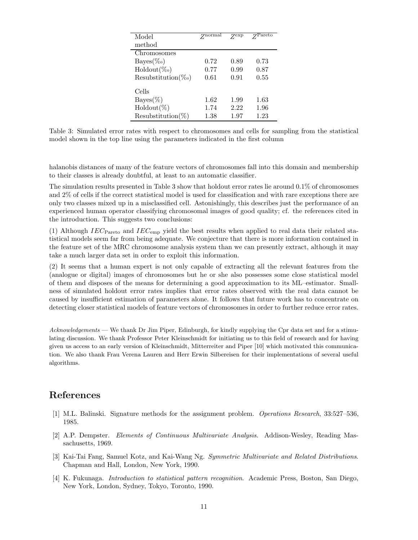| Model                  | Znormal | <b>Zexp</b> | Pareto |
|------------------------|---------|-------------|--------|
| method                 |         |             |        |
| Chromosomes            |         |             |        |
| $Bayes(\%_0)$          | 0.72    | 0.89        | 0.73   |
| $\text{Holdout}(\%_0)$ | 0.77    | 0.99        | 0.87   |
| $Resubstitution(\%o)$  | 0.61    | 0.91        | 0.55   |
| Cells                  |         |             |        |
| $Bayes(\%)$            | 1.62    | 1.99        | 1.63   |
| $Holdout(\%)$          | 1.74    | 2.22        | 1.96   |
| $Resubstitution(\%)$   | 1.38    | 1.97        | 1.23   |

Table 3: Simulated error rates with respect to chromosomes and cells for sampling from the statistical model shown in the top line using the parameters indicated in the first column

halanobis distances of many of the feature vectors of chromosomes fall into this domain and membership to their classes is already doubtful, at least to an automatic classifier.

The simulation results presented in Table 3 show that holdout error rates lie around 0.1% of chromosomes and 2% of cells if the correct statistical model is used for classification and with rare exceptions there are only two classes mixed up in a misclassified cell. Astonishingly, this describes just the performance of an experienced human operator classifying chromosomal images of good quality; cf. the references cited in the introduction. This suggests two conclusions:

(1) Although IEC<sub>Pareto</sub> and IEC<sub>emp</sub> yield the best results when applied to real data their related statistical models seem far from being adequate. We conjecture that there is more information contained in the feature set of the MRC chromosome analysis system than we can presently extract, although it may take a much larger data set in order to exploit this information.

(2) It seems that a human expert is not only capable of extracting all the relevant features from the (analogue or digital) images of chromosomes but he or she also possesses some close statistical model of them and disposes of the means for determining a good approximation to its ML–estimator. Smallness of simulated holdout error rates implies that error rates observed with the real data cannot be caused by insufficient estimation of parameters alone. It follows that future work has to concentrate on detecting closer statistical models of feature vectors of chromosomes in order to further reduce error rates.

Acknowledgements — We thank Dr Jim Piper, Edinburgh, for kindly supplying the Cpr data set and for a stimulating discussion. We thank Professor Peter Kleinschmidt for initiating us to this field of research and for having given us access to an early version of Kleinschmidt, Mitterreiter and Piper [10] which motivated this communication. We also thank Frau Verena Lauren and Herr Erwin Silbereisen for their implementations of several useful algorithms.

# References

- [1] M.L. Balinski. Signature methods for the assignment problem. Operations Research, 33:527–536, 1985.
- [2] A.P. Dempster. Elements of Continuous Multivariate Analysis. Addison-Wesley, Reading Massachusetts, 1969.
- [3] Kai-Tai Fang, Samuel Kotz, and Kai-Wang Ng. Symmetric Multivariate and Related Distributions. Chapman and Hall, London, New York, 1990.
- [4] K. Fukunaga. Introduction to statistical pattern recognition. Academic Press, Boston, San Diego, New York, London, Sydney, Tokyo, Toronto, 1990.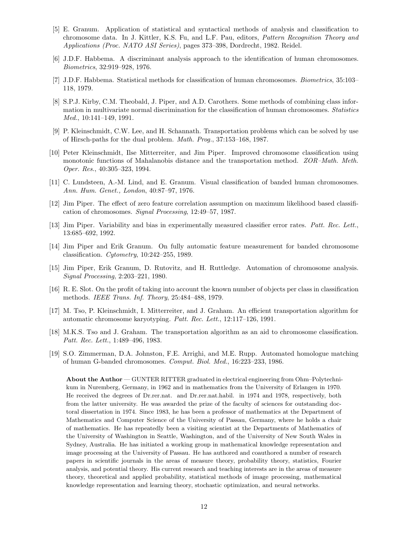- [5] E. Granum. Application of statistical and syntactical methods of analysis and classification to chromosome data. In J. Kittler, K.S. Fu, and L.F. Pau, editors, Pattern Recognition Theory and Applications (Proc. NATO ASI Series), pages 373–398, Dordrecht, 1982. Reidel.
- [6] J.D.F. Habbema. A discriminant analysis approach to the identification of human chromosomes. Biometrics, 32:919–928, 1976.
- [7] J.D.F. Habbema. Statistical methods for classification of human chromosomes. Biometrics, 35:103– 118, 1979.
- [8] S.P.J. Kirby, C.M. Theobald, J. Piper, and A.D. Carothers. Some methods of combining class information in multivariate normal discrimination for the classification of human chromosomes. Statistics Med., 10:141–149, 1991.
- [9] P. Kleinschmidt, C.W. Lee, and H. Schannath. Transportation problems which can be solved by use of Hirsch-paths for the dual problem. Math. Prog., 37:153–168, 1987.
- [10] Peter Kleinschmidt, Ilse Mitterreiter, and Jim Piper. Improved chromosome classification using monotonic functions of Mahalanobis distance and the transportation method. ZOR–Math. Meth. Oper. Res., 40:305–323, 1994.
- [11] C. Lundsteen, A.-M. Lind, and E. Granum. Visual classification of banded human chromosomes. Ann. Hum. Genet., London, 40:87–97, 1976.
- [12] Jim Piper. The effect of zero feature correlation assumption on maximum likelihood based classification of chromosomes. Signal Processing, 12:49–57, 1987.
- [13] Jim Piper. Variability and bias in experimentally measured classifier error rates. Patt. Rec. Lett., 13:685–692, 1992.
- [14] Jim Piper and Erik Granum. On fully automatic feature measurement for banded chromosome classification. Cytometry, 10:242–255, 1989.
- [15] Jim Piper, Erik Granum, D. Rutovitz, and H. Ruttledge. Automation of chromosome analysis. Signal Processing, 2:203–221, 1980.
- [16] R. E. Slot. On the profit of taking into account the known number of objects per class in classification methods. IEEE Trans. Inf. Theory, 25:484–488, 1979.
- [17] M. Tso, P. Kleinschmidt, I. Mitterreiter, and J. Graham. An efficient transportation algorithm for automatic chromosome karyotyping. Patt. Rec. Lett., 12:117–126, 1991.
- [18] M.K.S. Tso and J. Graham. The transportation algorithm as an aid to chromosome classification. Patt. Rec. Lett., 1:489–496, 1983.
- [19] S.O. Zimmerman, D.A. Johnston, F.E. Arrighi, and M.E. Rupp. Automated homologue matching of human G-banded chromosomes. Comput. Biol. Med., 16:223–233, 1986.

About the Author — GUNTER RITTER graduated in electrical engineering from Ohm–Polytechnikum in Nuremberg, Germany, in 1962 and in mathematics from the University of Erlangen in 1970. He received the degrees of Dr.rer.nat. and Dr.rer.nat.habil. in 1974 and 1978, respectively, both from the latter university. He was awarded the prize of the faculty of sciences for outstanding doctoral dissertation in 1974. Since 1983, he has been a professor of mathematics at the Department of Mathematics and Computer Science of the University of Passau, Germany, where he holds a chair of mathematics. He has repeatedly been a visiting scientist at the Departments of Mathematics of the University of Washington in Seattle, Washington, and of the University of New South Wales in Sydney, Australia. He has initiated a working group in mathematical knowledge representation and image processing at the University of Passau. He has authored and coauthored a number of research papers in scientific journals in the areas of measure theory, probability theory, statistics, Fourier analysis, and potential theory. His current research and teaching interests are in the areas of measure theory, theoretical and applied probability, statistical methods of image processing, mathematical knowledge representation and learning theory, stochastic optimization, and neural networks.